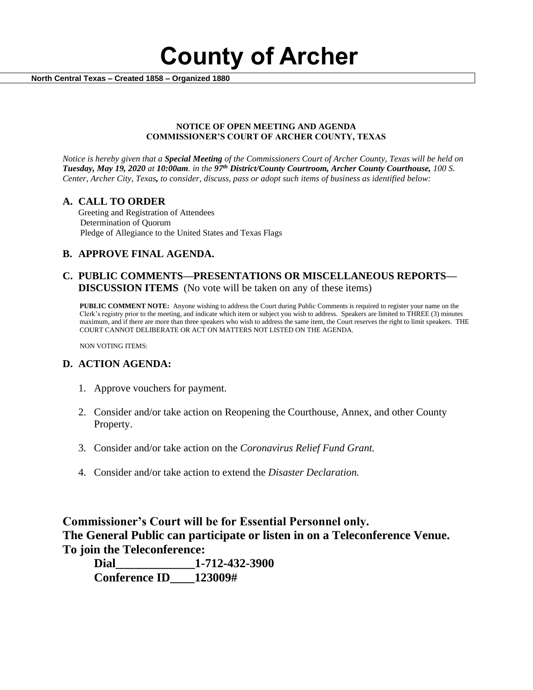**County of Archer** 

 **North Central Texas – Created 1858 – Organized 1880**

#### **NOTICE OF OPEN MEETING AND AGENDA COMMISSIONER'S COURT OF ARCHER COUNTY, TEXAS**

*Notice is hereby given that a Special Meeting of the Commissioners Court of Archer County, Texas will be held on Tuesday, May 19, 2020 at 10:00am. in the 97th District/County Courtroom, Archer County Courthouse, 100 S. Center, Archer City, Texas, to consider, discuss, pass or adopt such items of business as identified below:*

#### **A. CALL TO ORDER**

 Greeting and Registration of Attendees Determination of Quorum Pledge of Allegiance to the United States and Texas Flags

## **B. APPROVE FINAL AGENDA.**

### **C. PUBLIC COMMENTS—PRESENTATIONS OR MISCELLANEOUS REPORTS— DISCUSSION ITEMS** (No vote will be taken on any of these items)

**PUBLIC COMMENT NOTE:** Anyone wishing to address the Court during Public Comments is required to register your name on the Clerk's registry prior to the meeting, and indicate which item or subject you wish to address. Speakers are limited to THREE (3) minutes maximum, and if there are more than three speakers who wish to address the same item, the Court reserves the right to limit speakers. THE COURT CANNOT DELIBERATE OR ACT ON MATTERS NOT LISTED ON THE AGENDA.

NON VOTING ITEMS:

#### **D. ACTION AGENDA:**

- 1. Approve vouchers for payment.
- 2. Consider and/or take action on Reopening the Courthouse, Annex, and other County Property.
- 3. Consider and/or take action on the *Coronavirus Relief Fund Grant.*
- 4. Consider and/or take action to extend the *Disaster Declaration.*

# **Commissioner's Court will be for Essential Personnel only. The General Public can participate or listen in on a Teleconference Venue. To join the Teleconference:**

**Dial\_\_\_\_\_\_\_\_\_\_\_\_\_1-712-432-3900 Conference ID\_\_\_\_123009#**